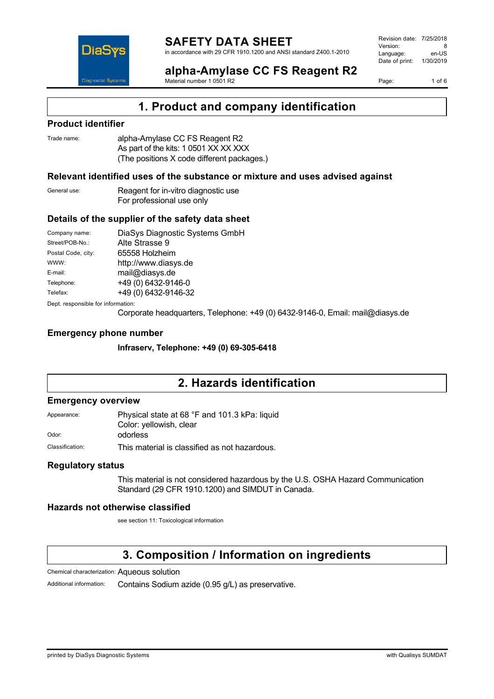

Revision date: 7/25/2018 Version: 8<br>Language: en-LIS Language: Date of print: 1/30/2019

**alpha-Amylase CC FS Reagent R2** Material number 1 0501 R2

Page: 1 of 6

# **1. Product and company identification**

### **Product identifier**

| Trade name: | alpha-Amylase CC FS Reagent R2             |
|-------------|--------------------------------------------|
|             | As part of the kits: 1 0501 XX XX XXX      |
|             | (The positions X code different packages.) |

### **Relevant identified uses of the substance or mixture and uses advised against**

| General use: | Reagent for in-vitro diagnostic use |
|--------------|-------------------------------------|
|              | For professional use only           |

### **Details of the supplier of the safety data sheet**

| Company name:                      | DiaSys Diagnostic Systems GmbH |  |
|------------------------------------|--------------------------------|--|
| Street/POB-No.:                    | Alte Strasse 9                 |  |
| Postal Code, city:                 | 65558 Holzheim                 |  |
| WWW:                               | http://www.diasys.de           |  |
| E-mail:                            | mail@diasys.de                 |  |
| Telephone:                         | +49 (0) 6432-9146-0            |  |
| Telefax:                           | +49 (0) 6432-9146-32           |  |
| Dept. responsible for information: |                                |  |

Corporate headquarters, Telephone: +49 (0) 6432-9146-0, Email: mail@diasys.de

### **Emergency phone number**

**Infraserv, Telephone: +49 (0) 69-305-6418**

# **2. Hazards identification**

### **Emergency overview**

Appearance: Physical state at 68 °F and 101.3 kPa: liquid Color: yellowish, clear Odor: odorless

Classification: This material is classified as not hazardous.

### **Regulatory status**

This material is not considered hazardous by the U.S. OSHA Hazard Communication Standard (29 CFR 1910.1200) and SIMDUT in Canada.

### **Hazards not otherwise classified**

see section 11: Toxicological information

# **3. Composition / Information on ingredients**

Chemical characterization: Aqueous solution

Additional information: Contains Sodium azide (0.95 g/L) as preservative.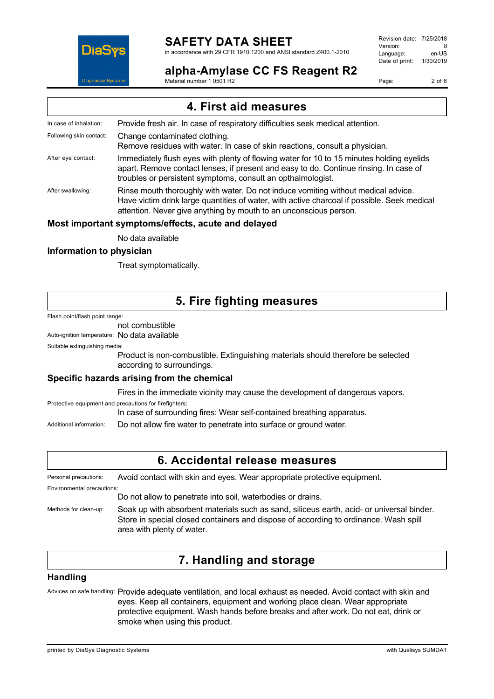

# **SAFETY DATA SHEET**

in accordance with 29 CFR 1910.1200 and ANSI standard Z400.1-2010

### **alpha-Amylase CC FS Reagent R2**

Revision date: 7/25/2018 Version: 8<br>Language: en-LIS Language: Date of print: 1/30/2019

Page: 2 of 6

Material number 1 0501 R2

| 4. First aid measures    |                                                                                                                                                                                                                                                       |
|--------------------------|-------------------------------------------------------------------------------------------------------------------------------------------------------------------------------------------------------------------------------------------------------|
| In case of inhalation:   | Provide fresh air. In case of respiratory difficulties seek medical attention.                                                                                                                                                                        |
| Following skin contact:  | Change contaminated clothing.<br>Remove residues with water. In case of skin reactions, consult a physician.                                                                                                                                          |
| After eye contact:       | Immediately flush eyes with plenty of flowing water for 10 to 15 minutes holding eyelids<br>apart. Remove contact lenses, if present and easy to do. Continue rinsing. In case of<br>troubles or persistent symptoms, consult an opthalmologist.      |
| After swallowing:        | Rinse mouth thoroughly with water. Do not induce vomiting without medical advice.<br>Have victim drink large quantities of water, with active charcoal if possible. Seek medical<br>attention. Never give anything by mouth to an unconscious person. |
|                          | Most important symptoms/effects, acute and delayed                                                                                                                                                                                                    |
|                          | No data available                                                                                                                                                                                                                                     |
| Information to physician |                                                                                                                                                                                                                                                       |

Treat symptomatically.

# **5. Fire fighting measures**

Flash point/flash point range:

### not combustible

Auto-ignition temperature: No data available

Suitable extinguishing media:

Product is non-combustible. Extinguishing materials should therefore be selected according to surroundings.

### **Specific hazards arising from the chemical**

Fires in the immediate vicinity may cause the development of dangerous vapors.

Protective equipment and precautions for firefighters: In case of surrounding fires: Wear self-contained breathing apparatus.

Additional information: Do not allow fire water to penetrate into surface or ground water.

# **6. Accidental release measures**

Personal precautions: Avoid contact with skin and eyes. Wear appropriate protective equipment.

Environmental precautions:

Do not allow to penetrate into soil, waterbodies or drains.

Methods for clean-up: Soak up with absorbent materials such as sand, siliceus earth, acid- or universal binder. Store in special closed containers and dispose of according to ordinance. Wash spill area with plenty of water.

# **7. Handling and storage**

### **Handling**

Advices on safe handling: Provide adequate ventilation, and local exhaust as needed. Avoid contact with skin and eyes. Keep all containers, equipment and working place clean. Wear appropriate protective equipment. Wash hands before breaks and after work. Do not eat, drink or smoke when using this product.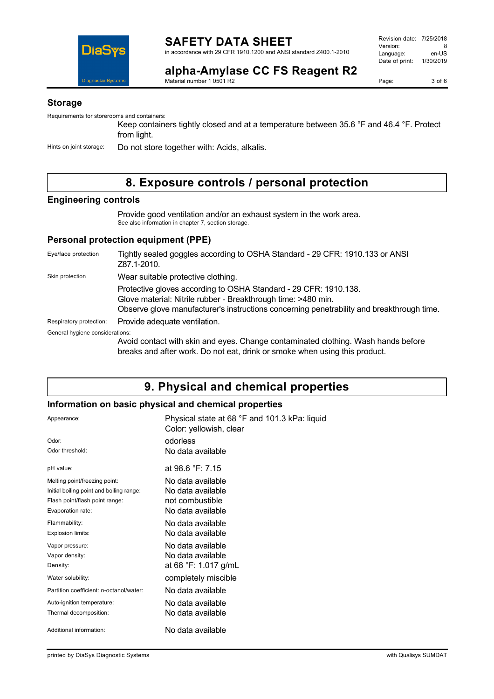

**alpha-Amylase CC FS Reagent R2** Material number 1 0501 R2

Page: 3 of 6

### **Storage**

Requirements for storerooms and containers:

Keep containers tightly closed and at a temperature between 35.6 °F and 46.4 °F. Protect from light.

Hints on joint storage: Do not store together with: Acids, alkalis.

# **8. Exposure controls / personal protection**

### **Engineering controls**

Provide good ventilation and/or an exhaust system in the work area. See also information in chapter 7, section storage.

### **Personal protection equipment (PPE)**

| Eye/face protection             | Tightly sealed goggles according to OSHA Standard - 29 CFR: 1910.133 or ANSI<br>Z87.1-2010.                                                                                                                                    |
|---------------------------------|--------------------------------------------------------------------------------------------------------------------------------------------------------------------------------------------------------------------------------|
| Skin protection                 | Wear suitable protective clothing.                                                                                                                                                                                             |
|                                 | Protective gloves according to OSHA Standard - 29 CFR: 1910.138.<br>Glove material: Nitrile rubber - Breakthrough time: >480 min.<br>Observe glove manufacturer's instructions concerning penetrability and breakthrough time. |
| Respiratory protection:         | Provide adequate ventilation.                                                                                                                                                                                                  |
| General hygiene considerations: |                                                                                                                                                                                                                                |
|                                 | Avoid contact with skin and eyes. Change contaminated clothing. Wash hands before<br>breaks and after work. Do not eat, drink or smoke when using this product.                                                                |

# **9. Physical and chemical properties**

### **Information on basic physical and chemical properties**

| Appearance:                              | Physical state at 68 °F and 101.3 kPa: liquid<br>Color: yellowish, clear |
|------------------------------------------|--------------------------------------------------------------------------|
| Odor:                                    | odorless                                                                 |
| Odor threshold:                          | No data available                                                        |
| pH value:                                | at 98.6 °F: 7.15                                                         |
| Melting point/freezing point:            | No data available                                                        |
| Initial boiling point and boiling range: | No data available                                                        |
| Flash point/flash point range:           | not combustible                                                          |
| Evaporation rate:                        | No data available                                                        |
| Flammability:                            | No data available                                                        |
| Explosion limits:                        | No data available                                                        |
| Vapor pressure:                          | No data available                                                        |
| Vapor density:                           | No data available                                                        |
| Density:                                 | at 68 °F: 1.017 g/mL                                                     |
| Water solubility:                        | completely miscible                                                      |
| Partition coefficient: n-octanol/water:  | No data available                                                        |
| Auto-ignition temperature:               | No data available                                                        |
| Thermal decomposition:                   | No data available                                                        |
| Additional information:                  | No data available                                                        |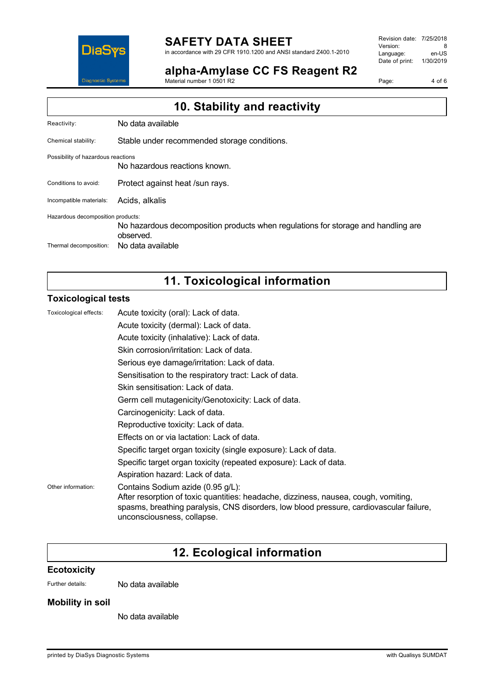

# **SAFETY DATA SHEET**

in accordance with 29 CFR 1910.1200 and ANSI standard Z400.1-2010

**alpha-Amylase CC FS Reagent R2**

Material number 1 0501 R2

Revision date: 7/25/2018 Version: 8<br>
Language: en-US Language: Date of print: 1/30/2019

Page: 4 of 6

| 10. Stability and reactivity       |                                                                                                |
|------------------------------------|------------------------------------------------------------------------------------------------|
| Reactivity:                        | No data available                                                                              |
| Chemical stability:                | Stable under recommended storage conditions.                                                   |
| Possibility of hazardous reactions | No hazardous reactions known.                                                                  |
| Conditions to avoid:               | Protect against heat /sun rays.                                                                |
| Incompatible materials:            | Acids, alkalis                                                                                 |
| Hazardous decomposition products:  | No hazardous decomposition products when regulations for storage and handling are<br>observed. |
| Thermal decomposition:             | No data available                                                                              |

# **11. Toxicological information**

### **Toxicological tests**

| Acute toxicity (oral): Lack of data.                                                                                                                                                                                                              |
|---------------------------------------------------------------------------------------------------------------------------------------------------------------------------------------------------------------------------------------------------|
| Acute toxicity (dermal): Lack of data.                                                                                                                                                                                                            |
| Acute toxicity (inhalative): Lack of data.                                                                                                                                                                                                        |
| Skin corrosion/irritation: Lack of data.                                                                                                                                                                                                          |
| Serious eye damage/irritation: Lack of data.                                                                                                                                                                                                      |
| Sensitisation to the respiratory tract: Lack of data.                                                                                                                                                                                             |
| Skin sensitisation: Lack of data.                                                                                                                                                                                                                 |
| Germ cell mutagenicity/Genotoxicity: Lack of data.                                                                                                                                                                                                |
| Carcinogenicity: Lack of data.                                                                                                                                                                                                                    |
| Reproductive toxicity: Lack of data.                                                                                                                                                                                                              |
| Effects on or via lactation: Lack of data.                                                                                                                                                                                                        |
| Specific target organ toxicity (single exposure): Lack of data.                                                                                                                                                                                   |
| Specific target organ toxicity (repeated exposure): Lack of data.                                                                                                                                                                                 |
| Aspiration hazard: Lack of data.                                                                                                                                                                                                                  |
| Contains Sodium azide (0.95 g/L):<br>After resorption of toxic quantities: headache, dizziness, nausea, cough, vomiting,<br>spasms, breathing paralysis, CNS disorders, low blood pressure, cardiovascular failure,<br>unconsciousness, collapse. |
|                                                                                                                                                                                                                                                   |

# **12. Ecological information**

### **Ecotoxicity**

Further details: No data available

### **Mobility in soil**

No data available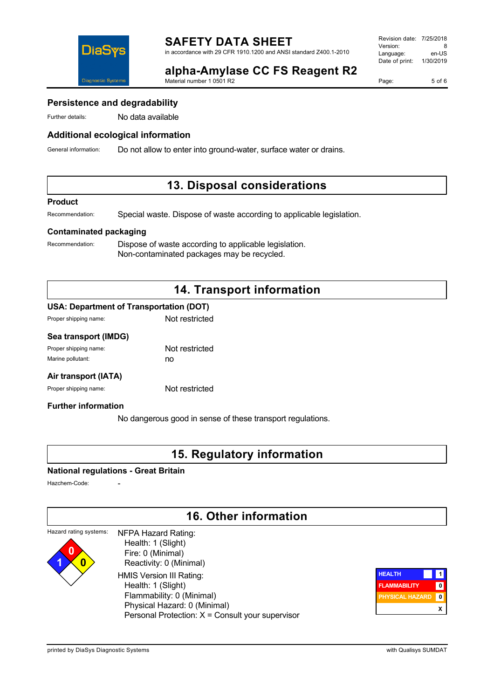

**alpha-Amylase CC FS Reagent R2** Material number 1 0501 R2

Page: 5 of 6

### **Persistence and degradability**

Further details: No data available

### **Additional ecological information**

General information: Do not allow to enter into ground-water, surface water or drains.

# **13. Disposal considerations**

#### **Product**

Recommendation: Special waste. Dispose of waste according to applicable legislation.

### **Contaminated packaging**

Recommendation: Dispose of waste according to applicable legislation. Non-contaminated packages may be recycled.

# **14. Transport information**

### **USA: Department of Transportation (DOT)**

| Proper shipping name: | Not restricted |
|-----------------------|----------------|
|                       |                |

### **Sea transport (IMDG)**

| Proper shipping name: | Not restricted |
|-----------------------|----------------|
| Marine pollutant:     | no             |

### **Air transport (IATA)**

Proper shipping name: Not restricted

### **Further information**

No dangerous good in sense of these transport regulations.

# **15. Regulatory information**

### **National regulations - Great Britain**

Hazchem-Code:

**1 0**

# **16. Other information**

#### Hazard rating systems: **0** NFPA Hazard Rating: Health: 1 (Slight)

 Fire: 0 (Minimal) Reactivity: 0 (Minimal) HMIS Version III Rating: Health: 1 (Slight) Flammability: 0 (Minimal) Physical Hazard: 0 (Minimal) Personal Protection: X = Consult your supervisor